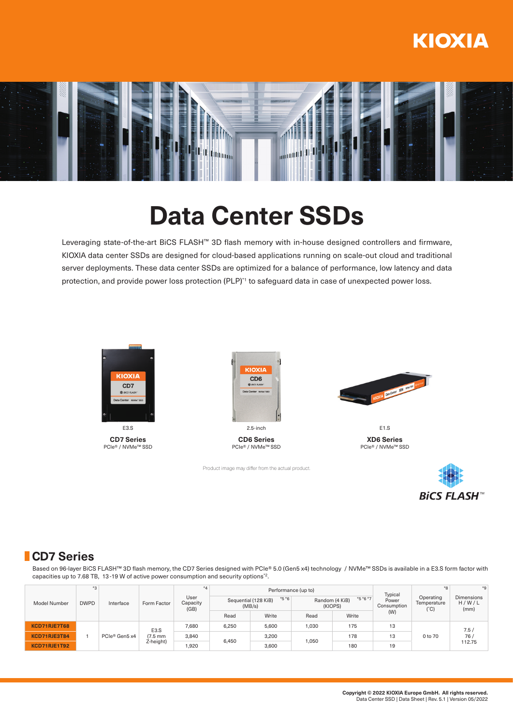# **KIOXIA**



# **Data Center SSDs**

Leveraging state-of-the-art BiCS FLASH™ 3D flash memory with in-house designed controllers and firmware, KIOXIA data center SSDs are designed for cloud-based applications running on scale-out cloud and traditional server deployments. These data center SSDs are optimized for a balance of performance, low latency and data protection, and provide power loss protection (PLP)<sup>\*1</sup> to safeguard data in case of unexpected power loss.



**CD7 Series** PCIe® / NVMe™ SSD



**CD6 Series** PCIe® / NVMe™ SSD

Product image may differ from the actual product.



**XD6 Series** PCIe® / NVMe™ SSD E1.S



## **CD7 Series**

Based on 96-layer BiCS FLASH™ 3D flash memory, the CD7 Series designed with PCIe® 5.0 (Gen5 x4) technology / NVMe™ SSDs is available in a E3.S form factor with capacities up to 7.68 TB, 13-19 W of active power consumption and security options<sup>\*2</sup>.

| <b>Model Number</b> | $*3$<br><b>DWPD</b> | Interface     | Form Factor                  | $*_{\Lambda}$<br>User<br>Capacity<br>(GB) |                                           | Performance (up to) |                                         | Typical | $*8$                 | $*9$                                      |                                               |
|---------------------|---------------------|---------------|------------------------------|-------------------------------------------|-------------------------------------------|---------------------|-----------------------------------------|---------|----------------------|-------------------------------------------|-----------------------------------------------|
|                     |                     |               |                              |                                           | $*5 *6$<br>Sequential (128 KiB)<br>(MB/s) |                     | $*5 *6 *7$<br>Random (4 KiB)<br>(KIOPS) |         | Power<br>Consumption | Operating<br>Temperature<br>$(^{\circ}C)$ | <b>Dimensions</b><br>H/W/L<br>(mm)            |
|                     |                     |               |                              |                                           | Read                                      | Write               | Read                                    | Write   | (W)                  |                                           |                                               |
| KCD71RJE7T68        |                     | PCIe® Gen5 x4 | E3.S<br>(7.5 mm<br>Z-height) | 7.680                                     | 6,250                                     | 5,600               | 1,030                                   | 175     | 13<br>13<br>19       | 0 to 70                                   | 7.5 <sub>1</sub><br>76 <sub>1</sub><br>112.75 |
| KCD71RJE3T84        |                     |               |                              | 3.840                                     | 6.450                                     | 3,200               | 1,050                                   | 178     |                      |                                           |                                               |
| KCD71RJE1T92        |                     |               |                              | 1,920                                     |                                           | 3,600               |                                         | 180     |                      |                                           |                                               |